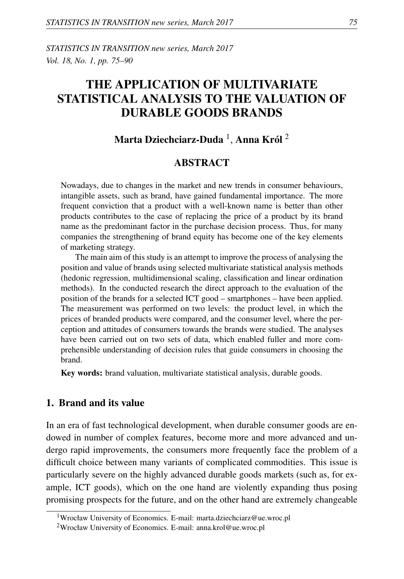*STATISTICS IN TRANSITION new series, March 2017 Vol. 18, No. 1, pp. 75–90*

# THE APPLICATION OF MULTIVARIATE STATISTICAL ANALYSIS TO THE VALUATION OF DURABLE GOODS BRANDS

## Marta Dziechciarz-Duda  $^1$ , Anna Król  $^2$

## ABSTRACT

Nowadays, due to changes in the market and new trends in consumer behaviours, intangible assets, such as brand, have gained fundamental importance. The more frequent conviction that a product with a well-known name is better than other products contributes to the case of replacing the price of a product by its brand name as the predominant factor in the purchase decision process. Thus, for many companies the strengthening of brand equity has become one of the key elements of marketing strategy.

The main aim of this study is an attempt to improve the process of analysing the position and value of brands using selected multivariate statistical analysis methods (hedonic regression, multidimensional scaling, classification and linear ordination methods). In the conducted research the direct approach to the evaluation of the position of the brands for a selected ICT good – smartphones – have been applied. The measurement was performed on two levels: the product level, in which the prices of branded products were compared, and the consumer level, where the perception and attitudes of consumers towards the brands were studied. The analyses have been carried out on two sets of data, which enabled fuller and more comprehensible understanding of decision rules that guide consumers in choosing the brand.

Key words: brand valuation, multivariate statistical analysis, durable goods.

#### 1. Brand and its value

In an era of fast technological development, when durable consumer goods are endowed in number of complex features, become more and more advanced and undergo rapid improvements, the consumers more frequently face the problem of a difficult choice between many variants of complicated commodities. This issue is particularly severe on the highly advanced durable goods markets (such as, for example, ICT goods), which on the one hand are violently expanding thus posing promising prospects for the future, and on the other hand are extremely changeable

<sup>1</sup>Wrocław University of Economics. E-mail: marta.dziechciarz@ue.wroc.pl

<sup>&</sup>lt;sup>2</sup>Wrocław University of Economics. E-mail: anna.krol@ue.wroc.pl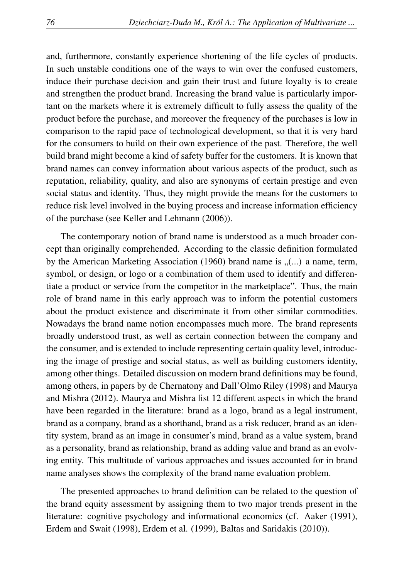and, furthermore, constantly experience shortening of the life cycles of products. In such unstable conditions one of the ways to win over the confused customers, induce their purchase decision and gain their trust and future loyalty is to create and strengthen the product brand. Increasing the brand value is particularly important on the markets where it is extremely difficult to fully assess the quality of the product before the purchase, and moreover the frequency of the purchases is low in comparison to the rapid pace of technological development, so that it is very hard for the consumers to build on their own experience of the past. Therefore, the well build brand might become a kind of safety buffer for the customers. It is known that brand names can convey information about various aspects of the product, such as reputation, reliability, quality, and also are synonyms of certain prestige and even social status and identity. Thus, they might provide the means for the customers to reduce risk level involved in the buying process and increase information efficiency of the purchase (see Keller and Lehmann (2006)).

The contemporary notion of brand name is understood as a much broader concept than originally comprehended. According to the classic definition formulated by the American Marketing Association (1960) brand name is  $($ ...) a name, term, symbol, or design, or logo or a combination of them used to identify and differentiate a product or service from the competitor in the marketplace". Thus, the main role of brand name in this early approach was to inform the potential customers about the product existence and discriminate it from other similar commodities. Nowadays the brand name notion encompasses much more. The brand represents broadly understood trust, as well as certain connection between the company and the consumer, and is extended to include representing certain quality level, introducing the image of prestige and social status, as well as building customers identity, among other things. Detailed discussion on modern brand definitions may be found, among others, in papers by de Chernatony and Dall'Olmo Riley (1998) and Maurya and Mishra (2012). Maurya and Mishra list 12 different aspects in which the brand have been regarded in the literature: brand as a logo, brand as a legal instrument, brand as a company, brand as a shorthand, brand as a risk reducer, brand as an identity system, brand as an image in consumer's mind, brand as a value system, brand as a personality, brand as relationship, brand as adding value and brand as an evolving entity. This multitude of various approaches and issues accounted for in brand name analyses shows the complexity of the brand name evaluation problem.

The presented approaches to brand definition can be related to the question of the brand equity assessment by assigning them to two major trends present in the literature: cognitive psychology and informational economics (cf. Aaker (1991), Erdem and Swait (1998), Erdem et al. (1999), Baltas and Saridakis (2010)).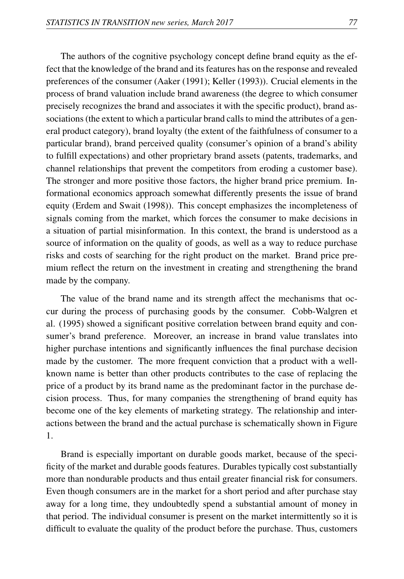The authors of the cognitive psychology concept define brand equity as the effect that the knowledge of the brand and its features has on the response and revealed preferences of the consumer (Aaker (1991); Keller (1993)). Crucial elements in the process of brand valuation include brand awareness (the degree to which consumer precisely recognizes the brand and associates it with the specific product), brand associations (the extent to which a particular brand calls to mind the attributes of a general product category), brand loyalty (the extent of the faithfulness of consumer to a particular brand), brand perceived quality (consumer's opinion of a brand's ability to fulfill expectations) and other proprietary brand assets (patents, trademarks, and channel relationships that prevent the competitors from eroding a customer base). The stronger and more positive those factors, the higher brand price premium. Informational economics approach somewhat differently presents the issue of brand equity (Erdem and Swait (1998)). This concept emphasizes the incompleteness of signals coming from the market, which forces the consumer to make decisions in a situation of partial misinformation. In this context, the brand is understood as a source of information on the quality of goods, as well as a way to reduce purchase risks and costs of searching for the right product on the market. Brand price premium reflect the return on the investment in creating and strengthening the brand made by the company.

The value of the brand name and its strength affect the mechanisms that occur during the process of purchasing goods by the consumer. Cobb-Walgren et al. (1995) showed a significant positive correlation between brand equity and consumer's brand preference. Moreover, an increase in brand value translates into higher purchase intentions and significantly influences the final purchase decision made by the customer. The more frequent conviction that a product with a wellknown name is better than other products contributes to the case of replacing the price of a product by its brand name as the predominant factor in the purchase decision process. Thus, for many companies the strengthening of brand equity has become one of the key elements of marketing strategy. The relationship and interactions between the brand and the actual purchase is schematically shown in Figure 1.

Brand is especially important on durable goods market, because of the specificity of the market and durable goods features. Durables typically cost substantially more than nondurable products and thus entail greater financial risk for consumers. Even though consumers are in the market for a short period and after purchase stay away for a long time, they undoubtedly spend a substantial amount of money in that period. The individual consumer is present on the market intermittently so it is difficult to evaluate the quality of the product before the purchase. Thus, customers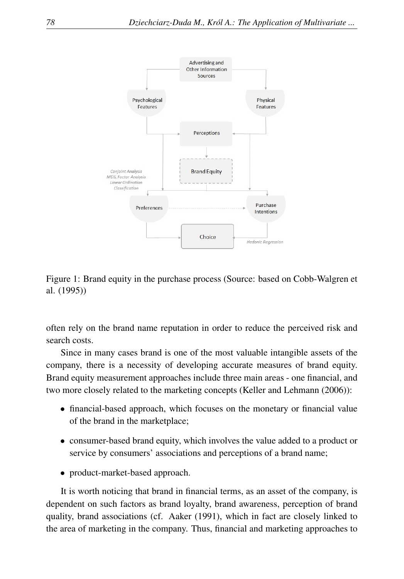

Figure 1: Brand equity in the purchase process (Source: based on Cobb-Walgren et al. (1995))

often rely on the brand name reputation in order to reduce the perceived risk and search costs.

Since in many cases brand is one of the most valuable intangible assets of the company, there is a necessity of developing accurate measures of brand equity. Brand equity measurement approaches include three main areas - one financial, and two more closely related to the marketing concepts (Keller and Lehmann (2006)):

- financial-based approach, which focuses on the monetary or financial value of the brand in the marketplace;
- consumer-based brand equity, which involves the value added to a product or service by consumers' associations and perceptions of a brand name;
- product-market-based approach.

It is worth noticing that brand in financial terms, as an asset of the company, is dependent on such factors as brand loyalty, brand awareness, perception of brand quality, brand associations (cf. Aaker (1991), which in fact are closely linked to the area of marketing in the company. Thus, financial and marketing approaches to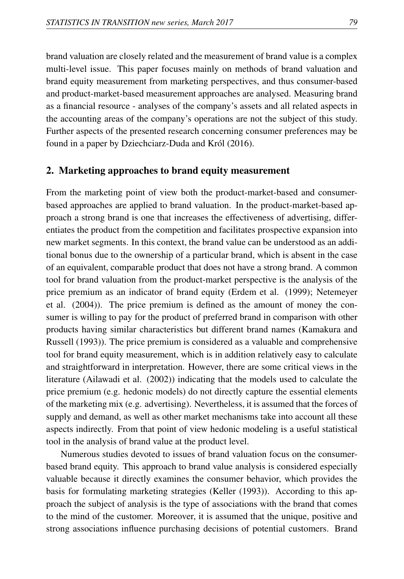brand valuation are closely related and the measurement of brand value is a complex multi-level issue. This paper focuses mainly on methods of brand valuation and brand equity measurement from marketing perspectives, and thus consumer-based and product-market-based measurement approaches are analysed. Measuring brand as a financial resource - analyses of the company's assets and all related aspects in the accounting areas of the company's operations are not the subject of this study. Further aspects of the presented research concerning consumer preferences may be found in a paper by Dziechciarz-Duda and Król (2016).

#### 2. Marketing approaches to brand equity measurement

From the marketing point of view both the product-market-based and consumerbased approaches are applied to brand valuation. In the product-market-based approach a strong brand is one that increases the effectiveness of advertising, differentiates the product from the competition and facilitates prospective expansion into new market segments. In this context, the brand value can be understood as an additional bonus due to the ownership of a particular brand, which is absent in the case of an equivalent, comparable product that does not have a strong brand. A common tool for brand valuation from the product-market perspective is the analysis of the price premium as an indicator of brand equity (Erdem et al. (1999); Netemeyer et al. (2004)). The price premium is defined as the amount of money the consumer is willing to pay for the product of preferred brand in comparison with other products having similar characteristics but different brand names (Kamakura and Russell (1993)). The price premium is considered as a valuable and comprehensive tool for brand equity measurement, which is in addition relatively easy to calculate and straightforward in interpretation. However, there are some critical views in the literature (Ailawadi et al. (2002)) indicating that the models used to calculate the price premium (e.g. hedonic models) do not directly capture the essential elements of the marketing mix (e.g. advertising). Nevertheless, it is assumed that the forces of supply and demand, as well as other market mechanisms take into account all these aspects indirectly. From that point of view hedonic modeling is a useful statistical tool in the analysis of brand value at the product level.

Numerous studies devoted to issues of brand valuation focus on the consumerbased brand equity. This approach to brand value analysis is considered especially valuable because it directly examines the consumer behavior, which provides the basis for formulating marketing strategies (Keller (1993)). According to this approach the subject of analysis is the type of associations with the brand that comes to the mind of the customer. Moreover, it is assumed that the unique, positive and strong associations influence purchasing decisions of potential customers. Brand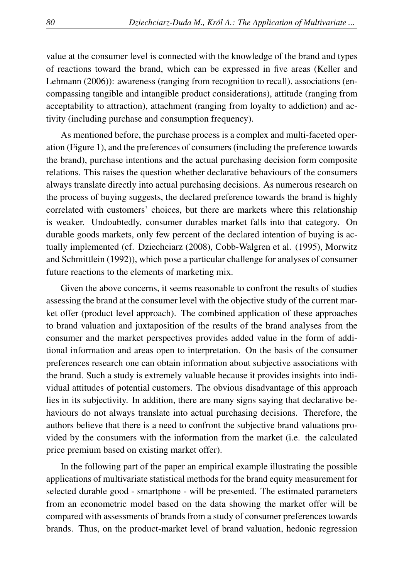value at the consumer level is connected with the knowledge of the brand and types of reactions toward the brand, which can be expressed in five areas (Keller and Lehmann (2006)): awareness (ranging from recognition to recall), associations (encompassing tangible and intangible product considerations), attitude (ranging from acceptability to attraction), attachment (ranging from loyalty to addiction) and activity (including purchase and consumption frequency).

As mentioned before, the purchase process is a complex and multi-faceted operation (Figure 1), and the preferences of consumers (including the preference towards the brand), purchase intentions and the actual purchasing decision form composite relations. This raises the question whether declarative behaviours of the consumers always translate directly into actual purchasing decisions. As numerous research on the process of buying suggests, the declared preference towards the brand is highly correlated with customers' choices, but there are markets where this relationship is weaker. Undoubtedly, consumer durables market falls into that category. On durable goods markets, only few percent of the declared intention of buying is actually implemented (cf. Dziechciarz (2008), Cobb-Walgren et al. (1995), Morwitz and Schmittlein (1992)), which pose a particular challenge for analyses of consumer future reactions to the elements of marketing mix.

Given the above concerns, it seems reasonable to confront the results of studies assessing the brand at the consumer level with the objective study of the current market offer (product level approach). The combined application of these approaches to brand valuation and juxtaposition of the results of the brand analyses from the consumer and the market perspectives provides added value in the form of additional information and areas open to interpretation. On the basis of the consumer preferences research one can obtain information about subjective associations with the brand. Such a study is extremely valuable because it provides insights into individual attitudes of potential customers. The obvious disadvantage of this approach lies in its subjectivity. In addition, there are many signs saying that declarative behaviours do not always translate into actual purchasing decisions. Therefore, the authors believe that there is a need to confront the subjective brand valuations provided by the consumers with the information from the market (i.e. the calculated price premium based on existing market offer).

In the following part of the paper an empirical example illustrating the possible applications of multivariate statistical methods for the brand equity measurement for selected durable good - smartphone - will be presented. The estimated parameters from an econometric model based on the data showing the market offer will be compared with assessments of brands from a study of consumer preferences towards brands. Thus, on the product-market level of brand valuation, hedonic regression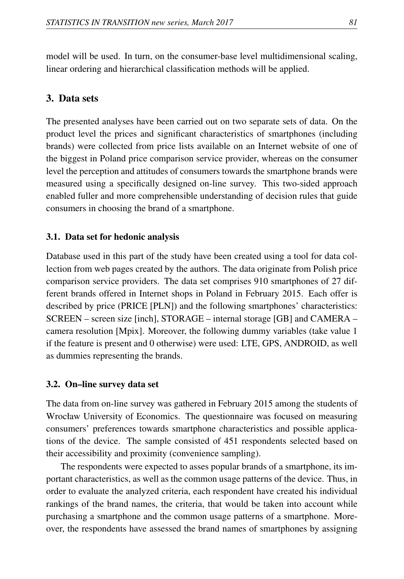model will be used. In turn, on the consumer-base level multidimensional scaling, linear ordering and hierarchical classification methods will be applied.

## 3. Data sets

The presented analyses have been carried out on two separate sets of data. On the product level the prices and significant characteristics of smartphones (including brands) were collected from price lists available on an Internet website of one of the biggest in Poland price comparison service provider, whereas on the consumer level the perception and attitudes of consumers towards the smartphone brands were measured using a specifically designed on-line survey. This two-sided approach enabled fuller and more comprehensible understanding of decision rules that guide consumers in choosing the brand of a smartphone.

## 3.1. Data set for hedonic analysis

Database used in this part of the study have been created using a tool for data collection from web pages created by the authors. The data originate from Polish price comparison service providers. The data set comprises 910 smartphones of 27 different brands offered in Internet shops in Poland in February 2015. Each offer is described by price (PRICE [PLN]) and the following smartphones' characteristics: SCREEN – screen size [inch], STORAGE – internal storage [GB] and CAMERA – camera resolution [Mpix]. Moreover, the following dummy variables (take value 1 if the feature is present and 0 otherwise) were used: LTE, GPS, ANDROID, as well as dummies representing the brands.

#### 3.2. On–line survey data set

The data from on-line survey was gathered in February 2015 among the students of Wrocław University of Economics. The questionnaire was focused on measuring consumers' preferences towards smartphone characteristics and possible applications of the device. The sample consisted of 451 respondents selected based on their accessibility and proximity (convenience sampling).

The respondents were expected to asses popular brands of a smartphone, its important characteristics, as well as the common usage patterns of the device. Thus, in order to evaluate the analyzed criteria, each respondent have created his individual rankings of the brand names, the criteria, that would be taken into account while purchasing a smartphone and the common usage patterns of a smartphone. Moreover, the respondents have assessed the brand names of smartphones by assigning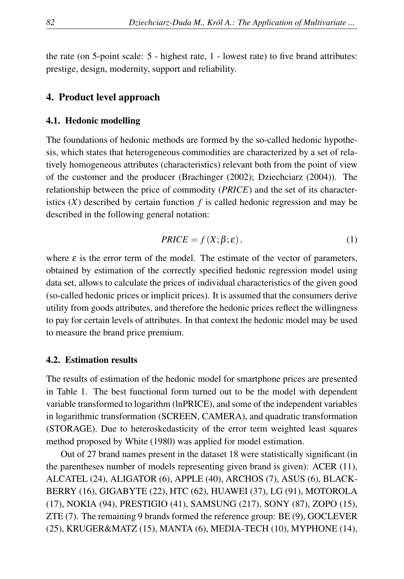the rate (on 5-point scale: 5 - highest rate, 1 - lowest rate) to five brand attributes: prestige, design, modernity, support and reliability.

## 4. Product level approach

#### 4.1. Hedonic modelling

The foundations of hedonic methods are formed by the so-called hedonic hypothesis, which states that heterogeneous commodities are characterized by a set of relatively homogeneous attributes (characteristics) relevant both from the point of view of the customer and the producer (Brachinger (2002); Dziechciarz (2004)). The relationship between the price of commodity (*PRICE*) and the set of its characteristics  $(X)$  described by certain function  $f$  is called hedonic regression and may be described in the following general notation:

$$
PRICE = f(X; \beta; \varepsilon), \tag{1}
$$

where  $\varepsilon$  is the error term of the model. The estimate of the vector of parameters, obtained by estimation of the correctly specified hedonic regression model using data set, allows to calculate the prices of individual characteristics of the given good (so-called hedonic prices or implicit prices). It is assumed that the consumers derive utility from goods attributes, and therefore the hedonic prices reflect the willingness to pay for certain levels of attributes. In that context the hedonic model may be used to measure the brand price premium.

#### 4.2. Estimation results

The results of estimation of the hedonic model for smartphone prices are presented in Table 1. The best functional form turned out to be the model with dependent variable transformed to logarithm (lnPRICE), and some of the independent variables in logarithmic transformation (SCREEN, CAMERA), and quadratic transformation (STORAGE). Due to heteroskedasticity of the error term weighted least squares method proposed by White (1980) was applied for model estimation.

Out of 27 brand names present in the dataset 18 were statistically significant (in the parentheses number of models representing given brand is given): ACER (11), ALCATEL (24), ALIGATOR (6), APPLE (40), ARCHOS (7), ASUS (6), BLACK-BERRY (16), GIGABYTE (22), HTC (62), HUAWEI (37), LG (91), MOTOROLA (17), NOKIA (94), PRESTIGIO (41), SAMSUNG (217), SONY (87), ZOPO (15), ZTE (7). The remaining 9 brands formed the reference group: BE (9), GOCLEVER (25), KRUGER&MATZ (15), MANTA (6), MEDIA-TECH (10), MYPHONE (14),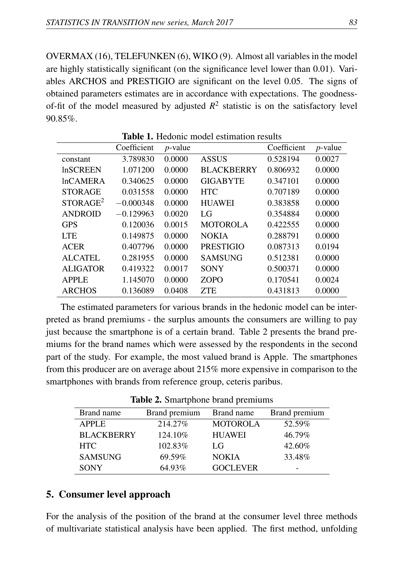OVERMAX (16), TELEFUNKEN (6), WIKO (9). Almost all variables in the model are highly statistically significant (on the significance level lower than 0.01). Variables ARCHOS and PRESTIGIO are significant on the level 0.05. The signs of obtained parameters estimates are in accordance with expectations. The goodnessof-fit of the model measured by adjusted  $R^2$  statistic is on the satisfactory level 90.85%.

|                      | Coefficient | $p$ -value |                   | Coefficient | $p$ -value |  |
|----------------------|-------------|------------|-------------------|-------------|------------|--|
| constant             | 3.789830    | 0.0000     | <b>ASSUS</b>      | 0.528194    | 0.0027     |  |
| <b>InSCREEN</b>      | 1.071200    | 0.0000     | <b>BLACKBERRY</b> | 0.806932    | 0.0000     |  |
| <b>InCAMERA</b>      | 0.340625    | 0.0000     | <b>GIGABYTE</b>   | 0.347101    | 0.0000     |  |
| <b>STORAGE</b>       | 0.031558    | 0.0000     | <b>HTC</b>        | 0.707189    | 0.0000     |  |
| STORAGE <sup>2</sup> | $-0.000348$ | 0.0000     | <b>HUAWEI</b>     | 0.383858    | 0.0000     |  |
| <b>ANDROID</b>       | $-0.129963$ | 0.0020     | LG                | 0.354884    | 0.0000     |  |
| <b>GPS</b>           | 0.120036    | 0.0015     | <b>MOTOROLA</b>   | 0.422555    | 0.0000     |  |
| <b>LTE</b>           | 0.149875    | 0.0000     | <b>NOKIA</b>      | 0.288791    | 0.0000     |  |
| <b>ACER</b>          | 0.407796    | 0.0000     | <b>PRESTIGIO</b>  | 0.087313    | 0.0194     |  |
| <b>ALCATEL</b>       | 0.281955    | 0.0000     | <b>SAMSUNG</b>    | 0.512381    | 0.0000     |  |
| <b>ALIGATOR</b>      | 0.419322    | 0.0017     | <b>SONY</b>       | 0.500371    | 0.0000     |  |
| <b>APPLE</b>         | 1.145070    | 0.0000     | <b>ZOPO</b>       | 0.170541    | 0.0024     |  |
| <b>ARCHOS</b>        | 0.136089    | 0.0408     | <b>ZTE</b>        | 0.431813    | 0.0000     |  |

Table 1. Hedonic model estimation results

The estimated parameters for various brands in the hedonic model can be interpreted as brand premiums - the surplus amounts the consumers are willing to pay just because the smartphone is of a certain brand. Table 2 presents the brand premiums for the brand names which were assessed by the respondents in the second part of the study. For example, the most valued brand is Apple. The smartphones from this producer are on average about 215% more expensive in comparison to the smartphones with brands from reference group, ceteris paribus.

Table 2. Smartphone brand premiums

| Brand name        | Brand premium | Brand name      | Brand premium |
|-------------------|---------------|-----------------|---------------|
| <b>APPLE</b>      | 214.27%       | <b>MOTOROLA</b> | 52.59%        |
| <b>BLACKBERRY</b> | 124.10%       | <b>HUAWEI</b>   | 46.79%        |
| <b>HTC</b>        | 102.83%       | LG              | 42.60%        |
| <b>SAMSUNG</b>    | 69.59%        | <b>NOKIA</b>    | 33.48%        |
| <b>SONY</b>       | 64.93%        | <b>GOCLEVER</b> | -             |

## 5. Consumer level approach

For the analysis of the position of the brand at the consumer level three methods of multivariate statistical analysis have been applied. The first method, unfolding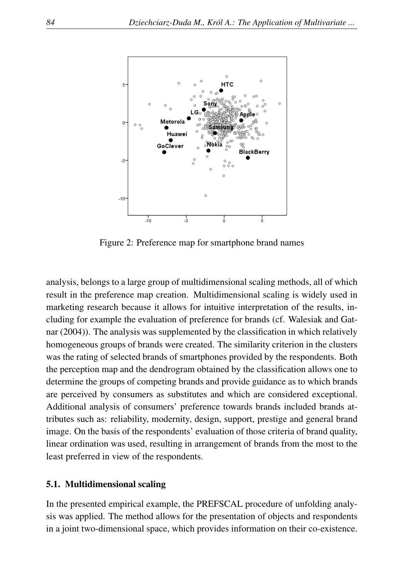

Figure 2: Preference map for smartphone brand names

analysis, belongs to a large group of multidimensional scaling methods, all of which result in the preference map creation. Multidimensional scaling is widely used in marketing research because it allows for intuitive interpretation of the results, including for example the evaluation of preference for brands (cf. Walesiak and Gatnar (2004)). The analysis was supplemented by the classification in which relatively homogeneous groups of brands were created. The similarity criterion in the clusters was the rating of selected brands of smartphones provided by the respondents. Both the perception map and the dendrogram obtained by the classification allows one to determine the groups of competing brands and provide guidance as to which brands are perceived by consumers as substitutes and which are considered exceptional. Additional analysis of consumers' preference towards brands included brands attributes such as: reliability, modernity, design, support, prestige and general brand image. On the basis of the respondents' evaluation of those criteria of brand quality, linear ordination was used, resulting in arrangement of brands from the most to the least preferred in view of the respondents.

#### 5.1. Multidimensional scaling

In the presented empirical example, the PREFSCAL procedure of unfolding analysis was applied. The method allows for the presentation of objects and respondents in a joint two-dimensional space, which provides information on their co-existence.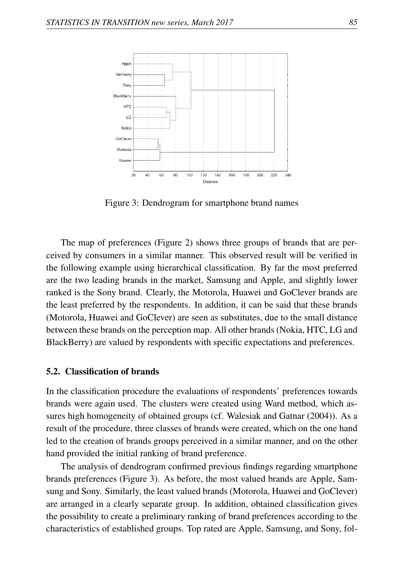

Figure 3: Dendrogram for smartphone brand names

The map of preferences (Figure 2) shows three groups of brands that are perceived by consumers in a similar manner. This observed result will be verified in the following example using hierarchical classification. By far the most preferred are the two leading brands in the market, Samsung and Apple, and slightly lower ranked is the Sony brand. Clearly, the Motorola, Huawei and GoClever brands are the least preferred by the respondents. In addition, it can be said that these brands (Motorola, Huawei and GoClever) are seen as substitutes, due to the small distance between these brands on the perception map. All other brands (Nokia, HTC, LG and BlackBerry) are valued by respondents with specific expectations and preferences.

#### 5.2. Classification of brands

In the classification procedure the evaluations of respondents' preferences towards brands were again used. The clusters were created using Ward method, which assures high homogeneity of obtained groups (cf. Walesiak and Gatnar (2004)). As a result of the procedure, three classes of brands were created, which on the one hand led to the creation of brands groups perceived in a similar manner, and on the other hand provided the initial ranking of brand preference.

The analysis of dendrogram confirmed previous findings regarding smartphone brands preferences (Figure 3). As before, the most valued brands are Apple, Samsung and Sony. Similarly, the least valued brands (Motorola, Huawei and GoClever) are arranged in a clearly separate group. In addition, obtained classification gives the possibility to create a preliminary ranking of brand preferences according to the characteristics of established groups. Top rated are Apple, Samsung, and Sony, fol-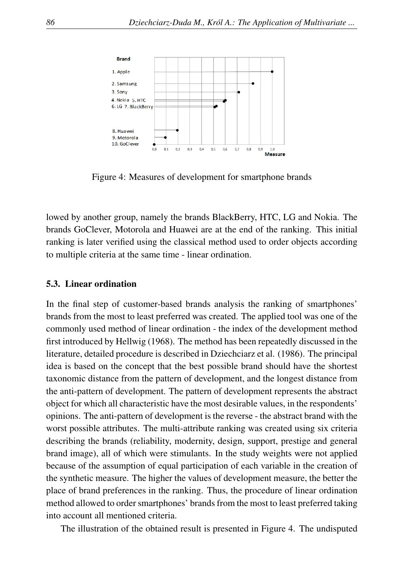

Figure 4: Measures of development for smartphone brands

lowed by another group, namely the brands BlackBerry, HTC, LG and Nokia. The brands GoClever, Motorola and Huawei are at the end of the ranking. This initial ranking is later verified using the classical method used to order objects according to multiple criteria at the same time - linear ordination.

#### 5.3. Linear ordination

In the final step of customer-based brands analysis the ranking of smartphones' brands from the most to least preferred was created. The applied tool was one of the commonly used method of linear ordination - the index of the development method first introduced by Hellwig (1968). The method has been repeatedly discussed in the literature, detailed procedure is described in Dziechciarz et al. (1986). The principal idea is based on the concept that the best possible brand should have the shortest taxonomic distance from the pattern of development, and the longest distance from the anti-pattern of development. The pattern of development represents the abstract object for which all characteristic have the most desirable values, in the respondents' opinions. The anti-pattern of development is the reverse - the abstract brand with the worst possible attributes. The multi-attribute ranking was created using six criteria describing the brands (reliability, modernity, design, support, prestige and general brand image), all of which were stimulants. In the study weights were not applied because of the assumption of equal participation of each variable in the creation of the synthetic measure. The higher the values of development measure, the better the place of brand preferences in the ranking. Thus, the procedure of linear ordination method allowed to order smartphones' brands from the most to least preferred taking into account all mentioned criteria.

The illustration of the obtained result is presented in Figure 4. The undisputed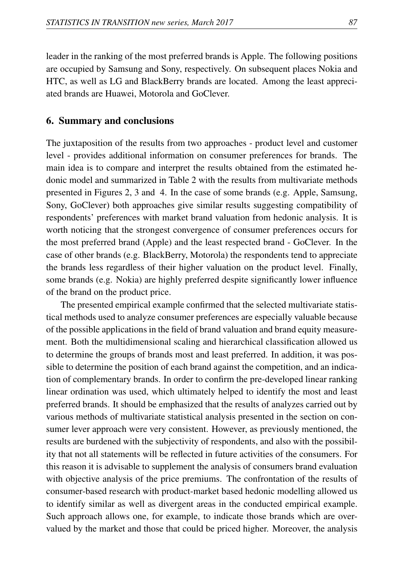leader in the ranking of the most preferred brands is Apple. The following positions are occupied by Samsung and Sony, respectively. On subsequent places Nokia and HTC, as well as LG and BlackBerry brands are located. Among the least appreciated brands are Huawei, Motorola and GoClever.

## 6. Summary and conclusions

The juxtaposition of the results from two approaches - product level and customer level - provides additional information on consumer preferences for brands. The main idea is to compare and interpret the results obtained from the estimated hedonic model and summarized in Table 2 with the results from multivariate methods presented in Figures 2, 3 and 4. In the case of some brands (e.g. Apple, Samsung, Sony, GoClever) both approaches give similar results suggesting compatibility of respondents' preferences with market brand valuation from hedonic analysis. It is worth noticing that the strongest convergence of consumer preferences occurs for the most preferred brand (Apple) and the least respected brand - GoClever. In the case of other brands (e.g. BlackBerry, Motorola) the respondents tend to appreciate the brands less regardless of their higher valuation on the product level. Finally, some brands (e.g. Nokia) are highly preferred despite significantly lower influence of the brand on the product price.

The presented empirical example confirmed that the selected multivariate statistical methods used to analyze consumer preferences are especially valuable because of the possible applications in the field of brand valuation and brand equity measurement. Both the multidimensional scaling and hierarchical classification allowed us to determine the groups of brands most and least preferred. In addition, it was possible to determine the position of each brand against the competition, and an indication of complementary brands. In order to confirm the pre-developed linear ranking linear ordination was used, which ultimately helped to identify the most and least preferred brands. It should be emphasized that the results of analyzes carried out by various methods of multivariate statistical analysis presented in the section on consumer lever approach were very consistent. However, as previously mentioned, the results are burdened with the subjectivity of respondents, and also with the possibility that not all statements will be reflected in future activities of the consumers. For this reason it is advisable to supplement the analysis of consumers brand evaluation with objective analysis of the price premiums. The confrontation of the results of consumer-based research with product-market based hedonic modelling allowed us to identify similar as well as divergent areas in the conducted empirical example. Such approach allows one, for example, to indicate those brands which are overvalued by the market and those that could be priced higher. Moreover, the analysis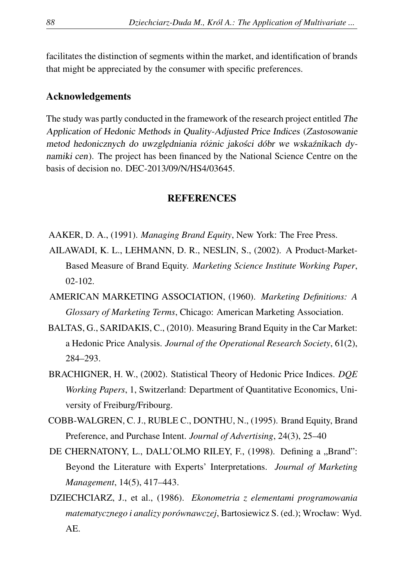facilitates the distinction of segments within the market, and identification of brands that might be appreciated by the consumer with specific preferences.

## Acknowledgements

The study was partly conducted in the framework of the research project entitled The Application of Hedonic Methods in Quality-Adjusted Price Indices (Zastosowanie metod hedonicznych do uwzględniania różnic jakości dóbr we wskaźnikach dynamiki cen). The project has been financed by the National Science Centre on the basis of decision no. DEC-2013/09/N/HS4/03645.

#### REFERENCES

- AAKER, D. A., (1991). *Managing Brand Equity*, New York: The Free Press.
- AILAWADI, K. L., LEHMANN, D. R., NESLIN, S., (2002). A Product-Market-Based Measure of Brand Equity. *Marketing Science Institute Working Paper*, 02-102.
- AMERICAN MARKETING ASSOCIATION, (1960). *Marketing Definitions: A Glossary of Marketing Terms*, Chicago: American Marketing Association.
- BALTAS, G., SARIDAKIS, C., (2010). Measuring Brand Equity in the Car Market: a Hedonic Price Analysis. *Journal of the Operational Research Society*, 61(2), 284–293.
- BRACHIGNER, H. W., (2002). Statistical Theory of Hedonic Price Indices. *DQE Working Papers*, 1, Switzerland: Department of Quantitative Economics, University of Freiburg/Fribourg.
- COBB-WALGREN, C. J., RUBLE C., DONTHU, N., (1995). Brand Equity, Brand Preference, and Purchase Intent. *Journal of Advertising*, 24(3), 25–40
- DE CHERNATONY, L., DALL'OLMO RILEY, F., (1998). Defining a "Brand": Beyond the Literature with Experts' Interpretations. *Journal of Marketing Management*, 14(5), 417–443.
- DZIECHCIARZ, J., et al., (1986). *Ekonometria z elementami programowania matematycznego i analizy porównawczej*, Bartosiewicz S. (ed.); Wrocław: Wyd. AE.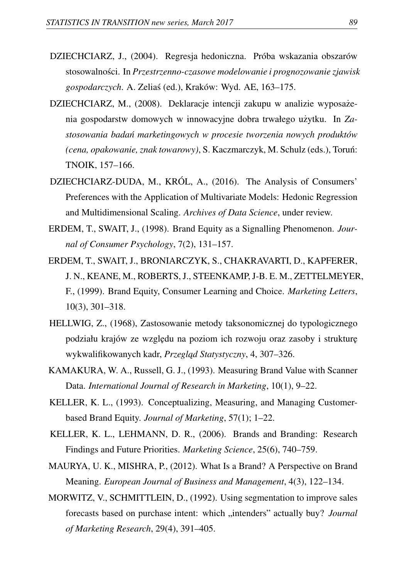- DZIECHCIARZ, J., (2004). Regresja hedoniczna. Próba wskazania obszarów stosowalnosci. In ´ *Przestrzenno-czasowe modelowanie i prognozowanie zjawisk gospodarczych*. A. Zelias (ed.), Kraków: Wyd. AE, 163–175. ´
- DZIECHCIARZ, M., (2008). Deklaracje intencji zakupu w analizie wyposażenia gospodarstw domowych w innowacyjne dobra trwałego użytku. In *Za*stosowania badań marketingowych w procesie tworzenia nowych produktów *(cena, opakowanie, znak towarowy)*, S. Kaczmarczyk, M. Schulz (eds.), Torun:´ TNOIK, 157–166.
- DZIECHCIARZ-DUDA, M., KRÓL, A., (2016). The Analysis of Consumers' Preferences with the Application of Multivariate Models: Hedonic Regression and Multidimensional Scaling. *Archives of Data Science*, under review.
- ERDEM, T., SWAIT, J., (1998). Brand Equity as a Signalling Phenomenon. *Journal of Consumer Psychology*, 7(2), 131–157.
- ERDEM, T., SWAIT, J., BRONIARCZYK, S., CHAKRAVARTI, D., KAPFERER, J. N., KEANE, M., ROBERTS, J., STEENKAMP, J-B. E. M., ZETTELMEYER, F., (1999). Brand Equity, Consumer Learning and Choice. *Marketing Letters*, 10(3), 301–318.
- HELLWIG, Z., (1968), Zastosowanie metody taksonomicznej do typologicznego podziału krajów ze względu na poziom ich rozwoju oraz zasoby i strukturę wykwalifikowanych kadr, Przegląd Statystyczny, 4, 307-326.
- KAMAKURA, W. A., Russell, G. J., (1993). Measuring Brand Value with Scanner Data. *International Journal of Research in Marketing*, 10(1), 9–22.
- KELLER, K. L., (1993). Conceptualizing, Measuring, and Managing Customerbased Brand Equity. *Journal of Marketing*, 57(1); 1–22.
- KELLER, K. L., LEHMANN, D. R., (2006). Brands and Branding: Research Findings and Future Priorities. *Marketing Science*, 25(6), 740–759.
- MAURYA, U. K., MISHRA, P., (2012). What Is a Brand? A Perspective on Brand Meaning. *European Journal of Business and Management*, 4(3), 122–134.
- MORWITZ, V., SCHMITTLEIN, D., (1992). Using segmentation to improve sales forecasts based on purchase intent: which "intenders" actually buy? *Journal of Marketing Research*, 29(4), 391–405.